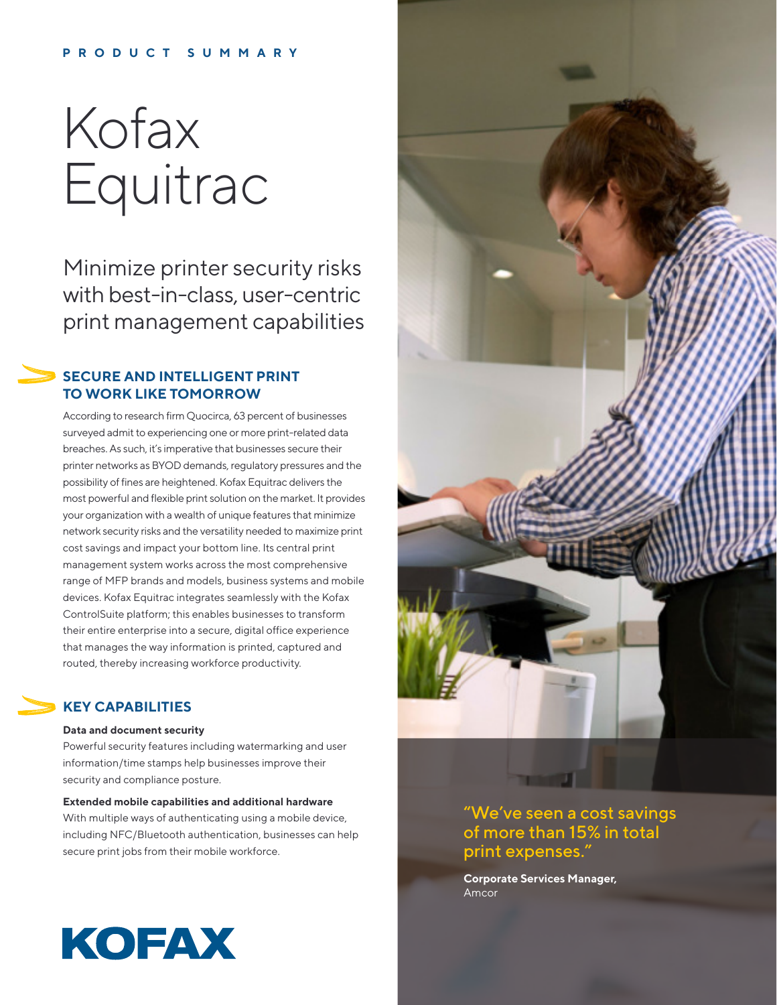#### **PRODUCT SUMMARY**

# Kofax Equitrac

Minimize printer security risks with best-in-class, user-centric print management capabilities

### **SECURE AND INTELLIGENT PRINT TO WORK LIKE TOMORROW**

According to research firm Quocirca, 63 percent of businesses surveyed admit to experiencing one or more print-related data breaches. As such, it's imperative that businesses secure their printer networks as BYOD demands, regulatory pressures and the possibility of fines are heightened. Kofax Equitrac delivers the most powerful and flexible print solution on the market. It provides your organization with a wealth of unique features that minimize network security risks and the versatility needed to maximize print cost savings and impact your bottom line. Its central print management system works across the most comprehensive range of MFP brands and models, business systems and mobile devices. Kofax Equitrac integrates seamlessly with the Kofax ControlSuite platform; this enables businesses to transform their entire enterprise into a secure, digital office experience that manages the way information is printed, captured and routed, thereby increasing workforce productivity.

#### **KEY CAPABILITIES**

#### **Data and document security**

Powerful security features including watermarking and user information/time stamps help businesses improve their security and compliance posture.

**Extended mobile capabilities and additional hardware**  With multiple ways of authenticating using a mobile device, including NFC/Bluetooth authentication, businesses can help secure print jobs from their mobile workforce.



"We've seen a cost savings of more than 15% in total print expenses."

**Corporate Services Manager,**  Amcor